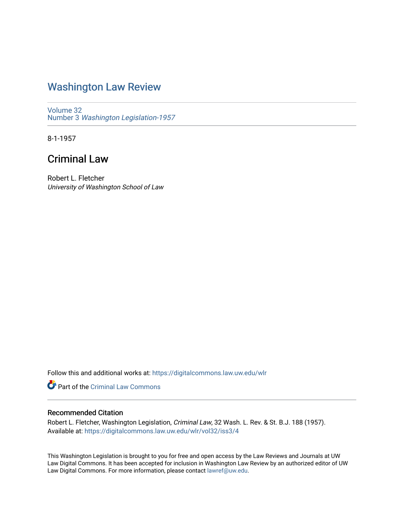## [Washington Law Review](https://digitalcommons.law.uw.edu/wlr)

[Volume 32](https://digitalcommons.law.uw.edu/wlr/vol32) Number 3 [Washington Legislation-1957](https://digitalcommons.law.uw.edu/wlr/vol32/iss3) 

8-1-1957

## Criminal Law

Robert L. Fletcher University of Washington School of Law

Follow this and additional works at: [https://digitalcommons.law.uw.edu/wlr](https://digitalcommons.law.uw.edu/wlr?utm_source=digitalcommons.law.uw.edu%2Fwlr%2Fvol32%2Fiss3%2F4&utm_medium=PDF&utm_campaign=PDFCoverPages)

Part of the [Criminal Law Commons](http://network.bepress.com/hgg/discipline/912?utm_source=digitalcommons.law.uw.edu%2Fwlr%2Fvol32%2Fiss3%2F4&utm_medium=PDF&utm_campaign=PDFCoverPages) 

## Recommended Citation

Robert L. Fletcher, Washington Legislation, Criminal Law, 32 Wash. L. Rev. & St. B.J. 188 (1957). Available at: [https://digitalcommons.law.uw.edu/wlr/vol32/iss3/4](https://digitalcommons.law.uw.edu/wlr/vol32/iss3/4?utm_source=digitalcommons.law.uw.edu%2Fwlr%2Fvol32%2Fiss3%2F4&utm_medium=PDF&utm_campaign=PDFCoverPages)

This Washington Legislation is brought to you for free and open access by the Law Reviews and Journals at UW Law Digital Commons. It has been accepted for inclusion in Washington Law Review by an authorized editor of UW Law Digital Commons. For more information, please contact [lawref@uw.edu](mailto:lawref@uw.edu).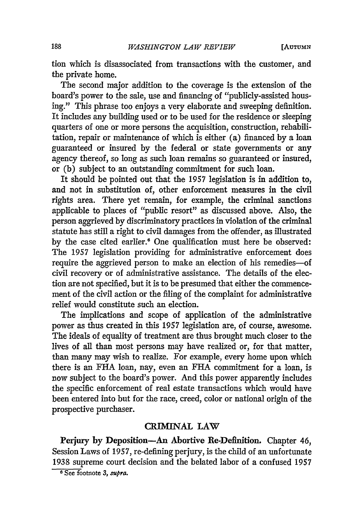**[AUTUMN**

tion which is disassociated from transactions with the customer, and the private home.

The second major addition to the coverage is the extension of the board's power to the sale, use and financing of "publicly-assisted housing." This phrase too enjoys a very elaborate and sweeping definition. It includes any building used or to be used for the residence or sleeping quarters of one or more persons the acquisition, construction, rehabilitation, repair or maintenance of which is either (a) financed by a loan guaranteed or insured by the federal or state governments or any agency thereof, so long as such loan remains so guaranteed or insured, or (b) subject to an outstanding commitment for such loan.

It should be pointed out that the 1957 legislation is in addition to, and not in substitution of, other enforcement measures in the civil rights area. There yet remain, for example, the criminal sanctions applicable to places of "public resort" as discussed above. Also, the person aggrieved by discriminatory practices in violation of the criminal statute has still a right to civil damages from the offender, as illustrated by the case cited earlier.' One qualification must here be observed: The 1957 legislation providing for administrative enforcement does require the aggrieved person to make an election of his remedies-of civil recovery or of administrative assistance. The details of the election are not specified, but it is to be presumed that either the commencement of the civil action or the filing of the complaint for administrative relief would constitute such an election.

The implications and scope of application of the administrative power as thus created in this 1957 legislation are, of course, awesome. The ideals of equality of treatment are thus brought much closer to the lives of all than most persons may have realized or, for that matter, than many may wish to realize. For example, every home upon which there is an FHA loan, nay, even an **FHA** commitment for a loan, is now subject to the board's power. And this power apparently includes the specific enforcement of real estate transactions which would have been entered into but for the race, creed, color or national origin of the prospective purchaser.

## *CRIM1NAL* LAW

Perjury **by** Deposition-An Abortive Re-Definition. Chapter 46, Session Laws of 1957, re-defining perjury, is the child of an unfortunate 1938 supreme court decision and the belated labor of a confused 1957

**<sup>6</sup>** See footnote *3, supra.*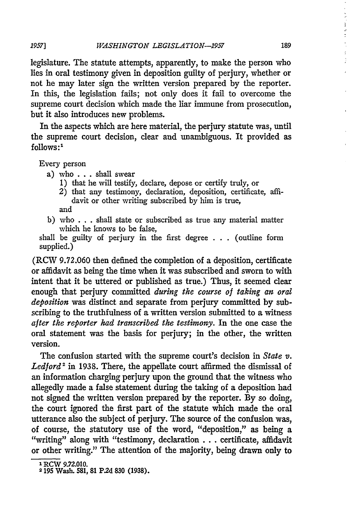legislature. The statute attempts, apparently, to make the person who lies in oral testimony given in deposition guilty of perjury, whether or not he may later sign the written version prepared by the reporter. In this, the legislation fails; not only does it fail to overcome the supreme court decision which made the liar immune from prosecution, but it also introduces new problems.

In the aspects which are here material, the perjury statute was, until the supreme court decision, clear and unambiguous. It provided as  $follows:$ <sup>1</sup>

Every person

- a) who **. . .** shall swear
	- 1) that he will testify, declare, depose or certify truly, or
	- 2) that any testimony, declaration, deposition, certificate, affidavit or other writing subscribed by him is true, and
- b) who . . . shall state or subscribed as true any material matter which he knows to be false,

shall be guilty of perjury in the first degree . . . (outline form supplied.)

(RCW 9.72.060 then defined the completion of a deposition, certificate or affidavit as being the time when it was subscribed and sworn to with intent that it be uttered or published as true.) Thus, it seemed clear enough that perjury committed *during the course of taking an oral deposition* was distinct and separate from perjury committed by subscribing to the truthfulness of a written version submitted to a witness *after the reporter had transcribed the testimony.* In the one case the oral statement was the basis for perjury; in the other, the written version.

The confusion started with the supreme court's decision in *State v. Ledford'* in 1938. There, the appellate court affirmed the dismissal of an information charging perjury upon the ground that the witness who allegedly made a false statement during the taking of a deposition had not signed the written version prepared **by** the reporter. **By** so doing, the court ignored the first part of the statute which made the oral utterance also the subject of perjury. The source of the confusion was, of course, the statutory use of the word, "deposition," as being a "writing" along with "testimony, declaration **...** certificate, affidavit or other writing." The attention of the majority, being drawn only to

189

**I** RCW **9.72.010. 2195** Wash. **581, 81 P2d 830 (1938).**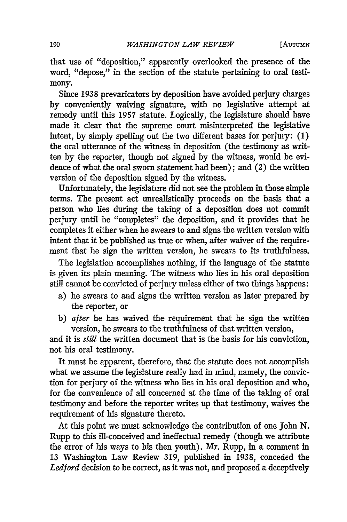that use of "deposition," apparently overlooked the presence of the word, "depose," in the section of the statute pertaining to oral testimony.

Since 1938 prevaricators by deposition have avoided perjury charges by conveniently waiving signature, with no legislative attempt at remedy until this 1957 statute. Logically, the legislature should have made it clear that the supreme court misinterpreted the legislative intent, by simply spelling out the two different bases for perjury: (1) the oral utterance of the witness in deposition (the testimony as written by the reporter, though not signed by the witness, would be evidence of what the oral sworn statement had been); and (2) the written version of the deposition signed by the witness.

Unfortunately, the legislature did not see the problem in those simple terms. The present act unrealistically proceeds on the basis that a person who lies during the taking of a deposition does not commit perjury until he "completes" the deposition, and it provides that he completes it either when he swears to and signs the written version with intent that it be published as true or when, after waiver of the requirement that he sign the written version, he swears to its truthfulness.

The legislation accomplishes nothing, if the language of the statute is given its plain meaning. The witness who lies in his oral deposition still cannot be convicted of perjury unless either of two things happens:

- a) he swears to and signs the written version as later prepared by the reporter, or
- b) *after* he has waived the requirement that he sign the written version, he swears to the truthfulness of that written version,

and it is *still* the written document that is the basis for his conviction, not his oral testimony.

It must be apparent, therefore, that the statute does not accomplish what we assume the legislature really had in mind, namely, the conviction for perjury of the witness who lies in his oral deposition and who, for the convenience of all concerned at the time of the taking of oral testimony and before the reporter writes up that testimony, waives the requirement of his signature thereto.

At this point we must acknowledge the contribution of one John N. Rupp to this ill-conceived and ineffectual remedy (though we attribute the error of his ways to his then youth). Mr. Rupp, in a comment in 13 Washington Law Review 319, published in 1938, conceded the *Ledford* decision to be correct, as it was not, and proposed a deceptively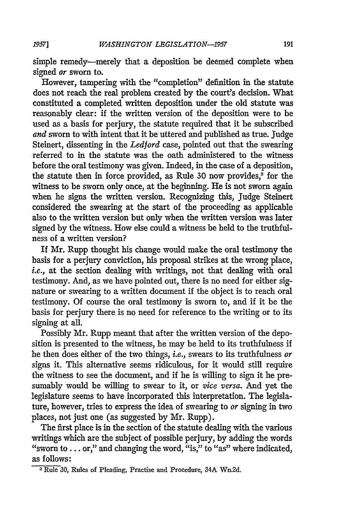simple remedy-merely that a deposition be deemed complete when signed *or* sworn to.

However, tampering with the "completion" definition in the statute does not reach the real problem created by the court's decision. What constituted a completed written deposition under the old statute was reasonably dear: if the written version of the deposition were to be used as a basis for perjury, the statute required that it be subscribed *and* sworn to with intent that it be uttered and published as true. Judge Steinert, dissenting in the *Ledford* case, pointed out that the swearing referred to in the statute was the oath administered to the witness before the oral testimony was given. Indeed, in the case of a deposition, the statute then in force provided, as Rule 30 now provides,<sup>3</sup> for the witness to be sworn only once, at the beginning. He is not sworn again when he signs the written version. Recognizing this, Judge Steinert considered the swearing at the start of the proceeding as applicable also to the written version but only when the written version was later signed by the witness. How else could a witness be held to the truthfulness of a written version?

If Mr. Rupp thought his change would make the oral testimony the basis for a perjury conviction, his proposal strikes at the wrong place, *i.e.,* at the section dealing with writings, not that dealing with oral testimony. And, as we have pointed out, there is no need for either signature or swearing to a written document if the object is to reach oral testimony. Of course the oral testimony is sworn to, and if it be the basis for perjury there is no need for reference to the writing or to its signing at all.

Possibly Mr. Rupp meant that after the written version of the deposition is presented to the witness, he may be held to its truthfulness if he then does either of the two things, *i.e.,* swears to its truthfulness *or* signs it. This alternative seems ridiculous, for it would still require the witness to see the document, and if he is willing to sign it he presumably would be willing to swear to it, or *vice versa.* And yet the legislature seems to have incorporated this interpretation. The legislature, however, tries to express the idea of swearing to *or* signing in two places, not just one (as suggested by Mr. Rupp).

The first place is in the section of the statute dealing with the various writings which are the subject of possible perjury, by adding the words "sworn to  $\dots$  or," and changing the word, "is," to "as" where indicated, as follows:

*1951*

**<sup>3</sup>**Rule **30,** Rules of Pleading, Practise and Procedure, 34A Wn.2d.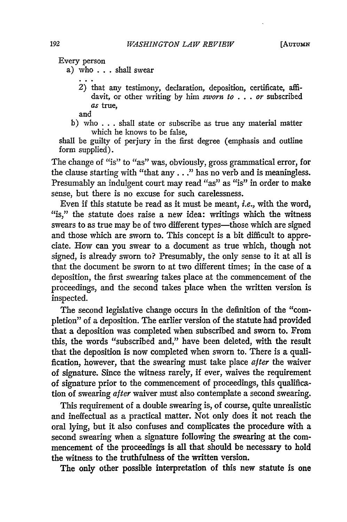Every person

a) who **. . .** shall swear

*2)* that any testimony, declaration, deposition, certificate, affidavit, or other writing **by** him sworn to *. . .* or subscribed as true,

and

b) who **. . .** shall state or subscribe as true any material matter which he knows to be false,

shall be guilty of perjury in the first degree (emphasis and outline form supplied).

The change of "is" to "as" was, obviously, gross grammatical error, for the clause starting with "that **any.. ."** has no verb and is meaningless. Presumably an indulgent court may read "as" as "is" in order to make sense, but there is no excuse for such carelessness.

Even if this statute be read as it must be meant, *i.e.*, with the word, "is," the statute does raise a new idea: writings which the witness swears to as true may be of two different types-those which are signed and those which are sworn to. This concept is a bit difficult to appreciate. How can you swear to a document as true which, though not signed, is already sworn to? Presumably, the only sense to it at all is that the document be sworn to at two different times; in the case of a deposition, the first swearing takes place at the commencement of the proceedings, and the second takes place when the written version is inspected.

The second legislative change occurs in the definition of the "completion" of a deposition. The earlier version of the statute had provided that a deposition was completed when subscribed and sworn to. From this, the words "subscribed and," have been deleted, with the result that the deposition is now completed when sworn to. There is a qualification, however, that the swearing must take place after the waiver of signature. Since the witness rarely, if ever, waives the requirement of signature prior to the commencement of proceedings, this qualification of swearing after waiver must also contemplate a second swearing.

This requirement of a double swearing is, of course, quite unrealistic and ineffectual as a practical matter. Not only does it not reach the oral lying, but it also confuses and complicates the procedure with a second swearing when a signature following the swearing at the commencement of the proceedings is all that should be necessary to hold the witness to the truthfulness of the written version.

The only other possible interpretation of this new statute is one